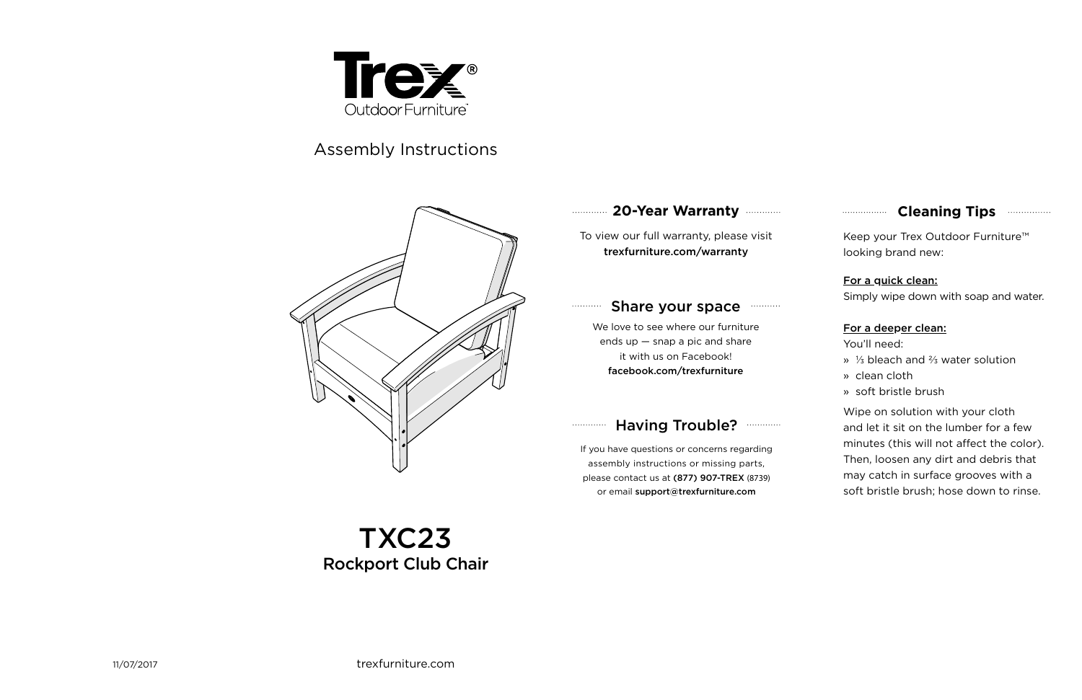#### **20-Year Warranty** . . . . . . . . . . . .

### **Cleaning Tips manufacture Cleaning Tips**

To view our full warranty, please visit trexfurniture.com/warranty

#### Share your space  $\ldots \ldots \ldots$

We love to see where our furniture ends up  $-$  snap a pic and share it with us on Facebook! facebook.com/trexfurniture

#### Having Trouble? **Williams** . . . . . . . . . . . . .



# Assembly Instructions



Keep your Trex Outdoor Furniture™ looking brand new:

### For a quick clean:

Simply wipe down with soap and water.

### For a deeper clean:

You'll need:

- » ⅓ bleach and ⅔ water solution
- » clean cloth
- » soft bristle brush

Wipe on solution with your cloth and let it sit on the lumber for a few minutes (this will not affect the color). Then, loosen any dirt and debris that may catch in surface grooves with a soft bristle brush; hose down to rinse.

If you have questions or concerns regarding assembly instructions or missing parts, please contact us at (877) 907-TREX (8739) or email support@trexfurniture.com

# TXC23 Rockport Club Chair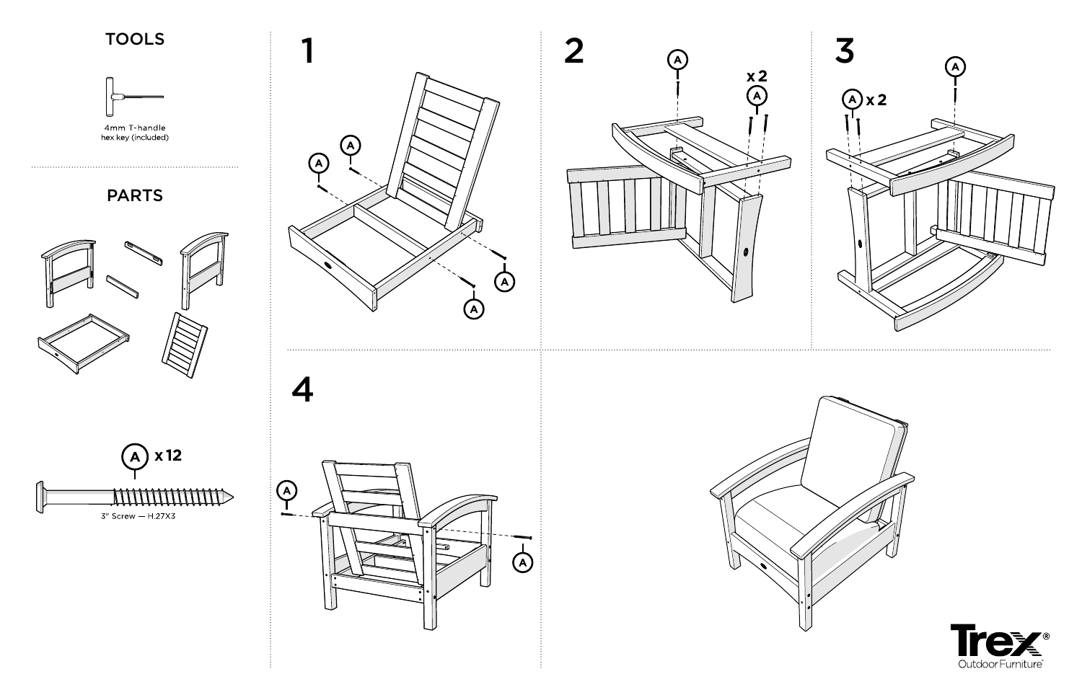4

# TOOLS



4mm T-handle<br>hex key (included)







# PARTS

. . . . . . . . . .









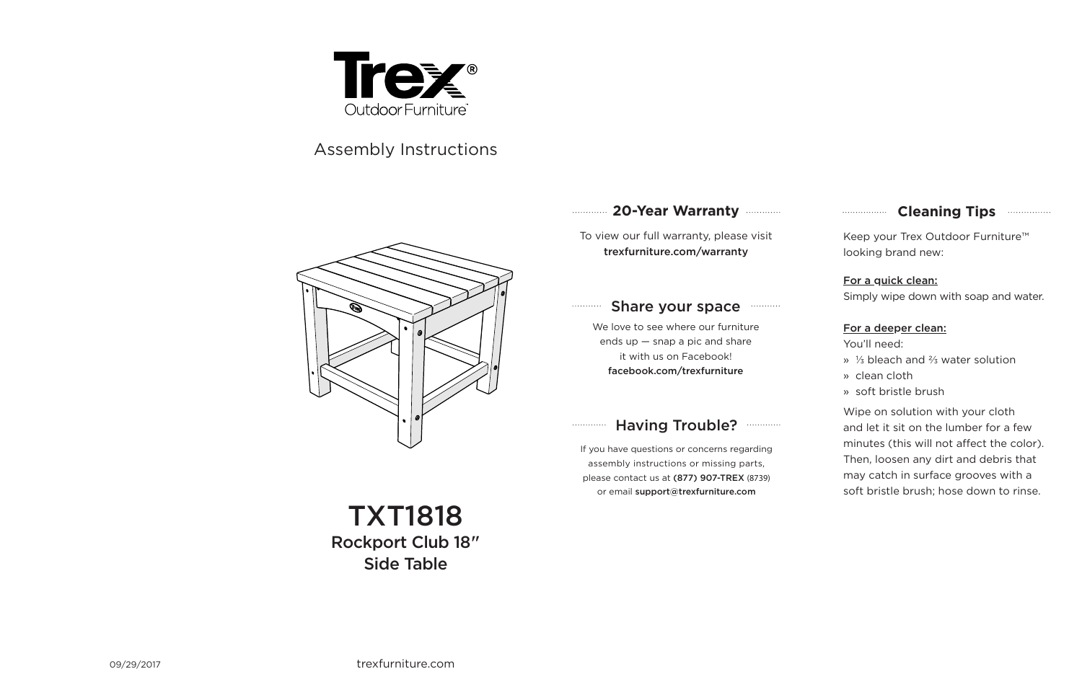## **Cleaning Tips manufacture Cleaning Tips**

### **20-Year Warranty**

To view our full warranty, please visit trexfurniture.com/warranty

#### Share your space  $\ldots\ldots\ldots$

We love to see where our furniture ends up — snap a pic and share it with us on Facebook! facebook.com/trexfurniture

#### Having Trouble? **...........**  $1.1.1.1.1.1.1.1.1.1$



# Assembly Instructions

Keep your Trex Outdoor Furniture™ looking brand new:

### For a quick clean:

Simply wipe down with soap and water.

#### For a deeper clean:

You'll need:

- » ⅓ bleach and ⅔ water solution
- » clean cloth
- » soft bristle brush

Wipe on solution with your cloth and let it sit on the lumber for a few minutes (this will not affect the color). Then, loosen any dirt and debris that may catch in surface grooves with a soft bristle brush; hose down to rinse.

If you have questions or concerns regarding assembly instructions or missing parts, please contact us at (877) 907-TREX (8739) or email support@trexfurniture.com

TXT1818 Rockport Club 18" Side Table